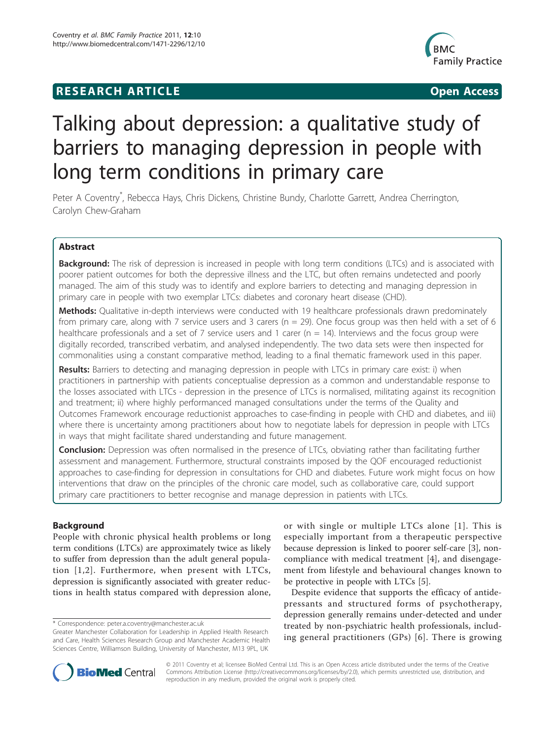# **RESEARCH ARTICLE Example 2018 CONSIDERING ACCESS**



# Talking about depression: a qualitative study of barriers to managing depression in people with long term conditions in primary care

Peter A Coventry<sup>\*</sup>, Rebecca Hays, Chris Dickens, Christine Bundy, Charlotte Garrett, Andrea Cherrington, Carolyn Chew-Graham

# Abstract

**Background:** The risk of depression is increased in people with long term conditions (LTCs) and is associated with poorer patient outcomes for both the depressive illness and the LTC, but often remains undetected and poorly managed. The aim of this study was to identify and explore barriers to detecting and managing depression in primary care in people with two exemplar LTCs: diabetes and coronary heart disease (CHD).

Methods: Qualitative in-depth interviews were conducted with 19 healthcare professionals drawn predominately from primary care, along with 7 service users and 3 carers ( $n = 29$ ). One focus group was then held with a set of 6 healthcare professionals and a set of 7 service users and 1 carer (n = 14). Interviews and the focus group were digitally recorded, transcribed verbatim, and analysed independently. The two data sets were then inspected for commonalities using a constant comparative method, leading to a final thematic framework used in this paper.

Results: Barriers to detecting and managing depression in people with LTCs in primary care exist: i) when practitioners in partnership with patients conceptualise depression as a common and understandable response to the losses associated with LTCs - depression in the presence of LTCs is normalised, militating against its recognition and treatment; ii) where highly performanced managed consultations under the terms of the Quality and Outcomes Framework encourage reductionist approaches to case-finding in people with CHD and diabetes, and iii) where there is uncertainty among practitioners about how to negotiate labels for depression in people with LTCs in ways that might facilitate shared understanding and future management.

Conclusion: Depression was often normalised in the presence of LTCs, obviating rather than facilitating further assessment and management. Furthermore, structural constraints imposed by the QOF encouraged reductionist approaches to case-finding for depression in consultations for CHD and diabetes. Future work might focus on how interventions that draw on the principles of the chronic care model, such as collaborative care, could support primary care practitioners to better recognise and manage depression in patients with LTCs.

# Background

People with chronic physical health problems or long term conditions (LTCs) are approximately twice as likely to suffer from depression than the adult general population [[1,2\]](#page-9-0). Furthermore, when present with LTCs, depression is significantly associated with greater reductions in health status compared with depression alone,

\* Correspondence: [peter.a.coventry@manchester.ac.uk](mailto:peter.a.coventry@manchester.ac.uk)

or with single or multiple LTCs alone [[1\]](#page-9-0). This is especially important from a therapeutic perspective because depression is linked to poorer self-care [[3\]](#page-9-0), noncompliance with medical treatment [[4\]](#page-9-0), and disengagement from lifestyle and behavioural changes known to be protective in people with LTCs [\[5\]](#page-9-0).

Despite evidence that supports the efficacy of antidepressants and structured forms of psychotherapy, depression generally remains under-detected and under treated by non-psychiatric health professionals, including general practitioners (GPs) [[6\]](#page-9-0). There is growing



© 2011 Coventry et al; licensee BioMed Central Ltd. This is an Open Access article distributed under the terms of the Creative Commons Attribution License [\(http://creativecommons.org/licenses/by/2.0](http://creativecommons.org/licenses/by/2.0)), which permits unrestricted use, distribution, and reproduction in any medium, provided the original work is properly cited.

Greater Manchester Collaboration for Leadership in Applied Health Research and Care, Health Sciences Research Group and Manchester Academic Health Sciences Centre, Williamson Building, University of Manchester, M13 9PL, UK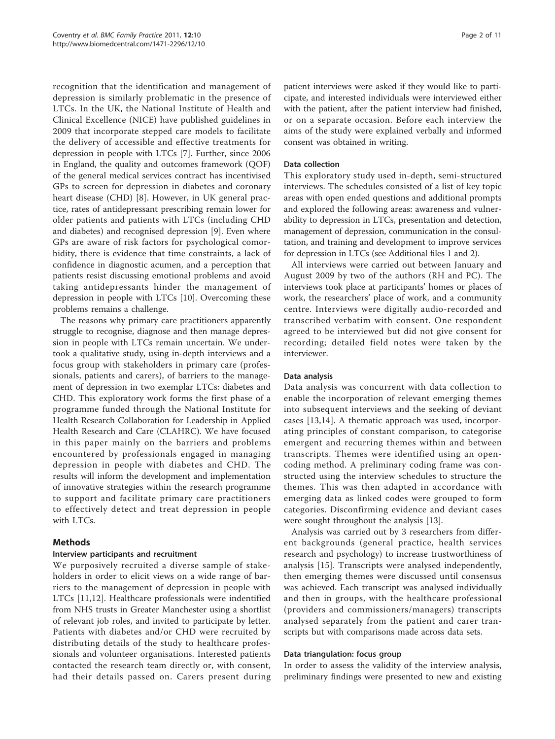recognition that the identification and management of depression is similarly problematic in the presence of LTCs. In the UK, the National Institute of Health and Clinical Excellence (NICE) have published guidelines in 2009 that incorporate stepped care models to facilitate the delivery of accessible and effective treatments for depression in people with LTCs [\[7](#page-9-0)]. Further, since 2006 in England, the quality and outcomes framework (QOF) of the general medical services contract has incentivised GPs to screen for depression in diabetes and coronary heart disease (CHD) [\[8](#page-9-0)]. However, in UK general practice, rates of antidepressant prescribing remain lower for older patients and patients with LTCs (including CHD and diabetes) and recognised depression [\[9](#page-9-0)]. Even where GPs are aware of risk factors for psychological comorbidity, there is evidence that time constraints, a lack of confidence in diagnostic acumen, and a perception that patients resist discussing emotional problems and avoid taking antidepressants hinder the management of depression in people with LTCs [\[10](#page-9-0)]. Overcoming these problems remains a challenge.

The reasons why primary care practitioners apparently struggle to recognise, diagnose and then manage depression in people with LTCs remain uncertain. We undertook a qualitative study, using in-depth interviews and a focus group with stakeholders in primary care (professionals, patients and carers), of barriers to the management of depression in two exemplar LTCs: diabetes and CHD. This exploratory work forms the first phase of a programme funded through the National Institute for Health Research Collaboration for Leadership in Applied Health Research and Care (CLAHRC). We have focused in this paper mainly on the barriers and problems encountered by professionals engaged in managing depression in people with diabetes and CHD. The results will inform the development and implementation of innovative strategies within the research programme to support and facilitate primary care practitioners to effectively detect and treat depression in people with LTCs.

# **Methods**

# Interview participants and recruitment

We purposively recruited a diverse sample of stakeholders in order to elicit views on a wide range of barriers to the management of depression in people with LTCs [[11,12](#page-9-0)]. Healthcare professionals were indentified from NHS trusts in Greater Manchester using a shortlist of relevant job roles, and invited to participate by letter. Patients with diabetes and/or CHD were recruited by distributing details of the study to healthcare professionals and volunteer organisations. Interested patients contacted the research team directly or, with consent, had their details passed on. Carers present during

patient interviews were asked if they would like to participate, and interested individuals were interviewed either with the patient, after the patient interview had finished, or on a separate occasion. Before each interview the aims of the study were explained verbally and informed consent was obtained in writing.

#### Data collection

This exploratory study used in-depth, semi-structured interviews. The schedules consisted of a list of key topic areas with open ended questions and additional prompts and explored the following areas: awareness and vulnerability to depression in LTCs, presentation and detection, management of depression, communication in the consultation, and training and development to improve services for depression in LTCs (see Additional files [1](#page-8-0) and [2\)](#page-8-0).

All interviews were carried out between January and August 2009 by two of the authors (RH and PC). The interviews took place at participants' homes or places of work, the researchers' place of work, and a community centre. Interviews were digitally audio-recorded and transcribed verbatim with consent. One respondent agreed to be interviewed but did not give consent for recording; detailed field notes were taken by the interviewer.

# Data analysis

Data analysis was concurrent with data collection to enable the incorporation of relevant emerging themes into subsequent interviews and the seeking of deviant cases [[13,14\]](#page-9-0). A thematic approach was used, incorporating principles of constant comparison, to categorise emergent and recurring themes within and between transcripts. Themes were identified using an opencoding method. A preliminary coding frame was constructed using the interview schedules to structure the themes. This was then adapted in accordance with emerging data as linked codes were grouped to form categories. Disconfirming evidence and deviant cases were sought throughout the analysis [[13](#page-9-0)].

Analysis was carried out by 3 researchers from different backgrounds (general practice, health services research and psychology) to increase trustworthiness of analysis [[15\]](#page-9-0). Transcripts were analysed independently, then emerging themes were discussed until consensus was achieved. Each transcript was analysed individually and then in groups, with the healthcare professional (providers and commissioners/managers) transcripts analysed separately from the patient and carer transcripts but with comparisons made across data sets.

#### Data triangulation: focus group

In order to assess the validity of the interview analysis, preliminary findings were presented to new and existing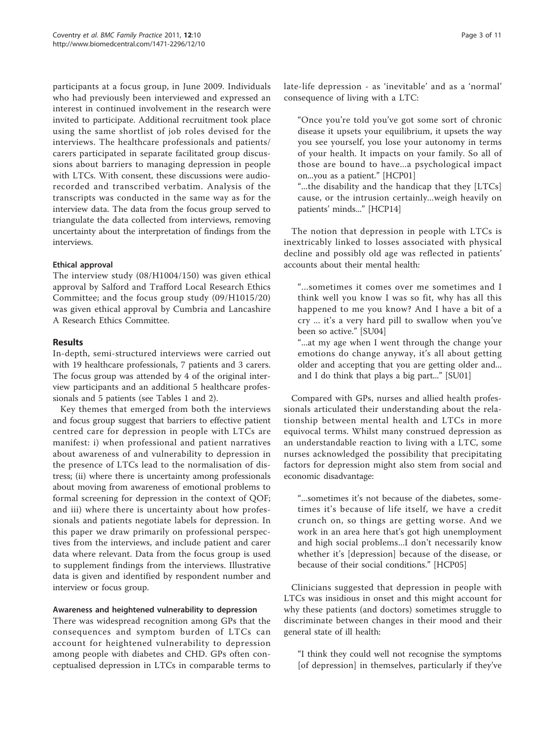participants at a focus group, in June 2009. Individuals who had previously been interviewed and expressed an interest in continued involvement in the research were invited to participate. Additional recruitment took place using the same shortlist of job roles devised for the interviews. The healthcare professionals and patients/ carers participated in separate facilitated group discussions about barriers to managing depression in people with LTCs. With consent, these discussions were audiorecorded and transcribed verbatim. Analysis of the transcripts was conducted in the same way as for the interview data. The data from the focus group served to triangulate the data collected from interviews, removing uncertainty about the interpretation of findings from the interviews.

# Ethical approval

The interview study (08/H1004/150) was given ethical approval by Salford and Trafford Local Research Ethics Committee; and the focus group study (09/H1015/20) was given ethical approval by Cumbria and Lancashire A Research Ethics Committee.

# Results

In-depth, semi-structured interviews were carried out with 19 healthcare professionals, 7 patients and 3 carers. The focus group was attended by 4 of the original interview participants and an additional 5 healthcare professionals and 5 patients (see Tables [1](#page-3-0) and [2\)](#page-4-0).

Key themes that emerged from both the interviews and focus group suggest that barriers to effective patient centred care for depression in people with LTCs are manifest: i) when professional and patient narratives about awareness of and vulnerability to depression in the presence of LTCs lead to the normalisation of distress; (ii) where there is uncertainty among professionals about moving from awareness of emotional problems to formal screening for depression in the context of QOF; and iii) where there is uncertainty about how professionals and patients negotiate labels for depression. In this paper we draw primarily on professional perspectives from the interviews, and include patient and carer data where relevant. Data from the focus group is used to supplement findings from the interviews. Illustrative data is given and identified by respondent number and interview or focus group.

# Awareness and heightened vulnerability to depression

There was widespread recognition among GPs that the consequences and symptom burden of LTCs can account for heightened vulnerability to depression among people with diabetes and CHD. GPs often conceptualised depression in LTCs in comparable terms to late-life depression - as 'inevitable' and as a 'normal' consequence of living with a LTC:

"Once you're told you've got some sort of chronic disease it upsets your equilibrium, it upsets the way you see yourself, you lose your autonomy in terms of your health. It impacts on your family. So all of those are bound to have...a psychological impact on...you as a patient." [HCP01]

"...the disability and the handicap that they [LTCs] cause, or the intrusion certainly...weigh heavily on patients' minds..." [HCP14]

The notion that depression in people with LTCs is inextricably linked to losses associated with physical decline and possibly old age was reflected in patients' accounts about their mental health:

"...sometimes it comes over me sometimes and I think well you know I was so fit, why has all this happened to me you know? And I have a bit of a cry ... it's a very hard pill to swallow when you've been so active." [SU04]

"...at my age when I went through the change your emotions do change anyway, it's all about getting older and accepting that you are getting older and... and I do think that plays a big part..." [SU01]

Compared with GPs, nurses and allied health professionals articulated their understanding about the relationship between mental health and LTCs in more equivocal terms. Whilst many construed depression as an understandable reaction to living with a LTC, some nurses acknowledged the possibility that precipitating factors for depression might also stem from social and economic disadvantage:

"...sometimes it's not because of the diabetes, sometimes it's because of life itself, we have a credit crunch on, so things are getting worse. And we work in an area here that's got high unemployment and high social problems...I don't necessarily know whether it's [depression] because of the disease, or because of their social conditions." [HCP05]

Clinicians suggested that depression in people with LTCs was insidious in onset and this might account for why these patients (and doctors) sometimes struggle to discriminate between changes in their mood and their general state of ill health:

"I think they could well not recognise the symptoms [of depression] in themselves, particularly if they've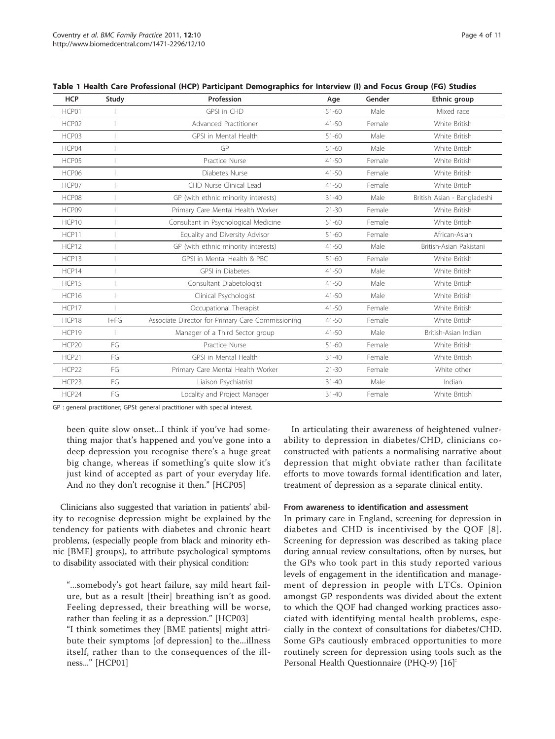| <b>HCP</b> | Study    | Profession                                        | Age       | Gender | Ethnic group                |
|------------|----------|---------------------------------------------------|-----------|--------|-----------------------------|
| HCP01      |          | GPSI in CHD                                       | $51 - 60$ | Male   | Mixed race                  |
| HCP02      |          | Advanced Practitioner                             | $41 - 50$ | Female | White British               |
| HCP03      |          | GPSI in Mental Health                             | $51 - 60$ | Male   | White British               |
| HCP04      |          | GP                                                | $51 - 60$ | Male   | White British               |
| HCP05      |          | Practice Nurse                                    | $41 - 50$ | Female | White British               |
| HCP06      |          | Diabetes Nurse                                    | $41 - 50$ | Female | White British               |
| HCP07      |          | CHD Nurse Clinical Lead                           | $41 - 50$ | Female | White British               |
| HCP08      |          | GP (with ethnic minority interests)               | $31 - 40$ | Male   | British Asian - Bangladeshi |
| HCP09      |          | Primary Care Mental Health Worker                 | $21 - 30$ | Female | White British               |
| HCP10      |          | Consultant in Psychological Medicine              | $51 - 60$ | Female | White British               |
| HCP11      |          | Equality and Diversity Advisor                    | $51 - 60$ | Female | African-Asian               |
| HCP12      |          | GP (with ethnic minority interests)               | $41 - 50$ | Male   | British-Asian Pakistani     |
| HCP13      |          | GPSI in Mental Health & PBC                       | $51 - 60$ | Female | White British               |
| HCP14      |          | GPSI in Diabetes                                  | $41 - 50$ | Male   | White British               |
| HCP15      |          | Consultant Diabetologist                          | $41 - 50$ | Male   | White British               |
| HCP16      |          | Clinical Psychologist                             | $41 - 50$ | Male   | White British               |
| HCP17      |          | Occupational Therapist                            | $41 - 50$ | Female | White British               |
| HCP18      | $I + FG$ | Associate Director for Primary Care Commissioning | $41 - 50$ | Female | White British               |
| HCP19      |          | Manager of a Third Sector group                   | $41 - 50$ | Male   | British-Asian Indian        |
| HCP20      | FG       | Practice Nurse                                    | $51 - 60$ | Female | White British               |
| HCP21      | FG       | GPSI in Mental Health                             | $31 - 40$ | Female | White British               |
| HCP22      | FG       | Primary Care Mental Health Worker                 | $21 - 30$ | Female | White other                 |
| HCP23      | FG       | Liaison Psychiatrist                              | $31 - 40$ | Male   | Indian                      |
| HCP24      | FG       | Locality and Project Manager                      | $31 - 40$ | Female | White British               |

<span id="page-3-0"></span>Table 1 Health Care Professional (HCP) Participant Demographics for Interview (I) and Focus Group (FG) Studies

GP : general practitioner; GPSI: general practitioner with special interest.

been quite slow onset...I think if you've had something major that's happened and you've gone into a deep depression you recognise there's a huge great big change, whereas if something's quite slow it's just kind of accepted as part of your everyday life. And no they don't recognise it then." [HCP05]

Clinicians also suggested that variation in patients' ability to recognise depression might be explained by the tendency for patients with diabetes and chronic heart problems, (especially people from black and minority ethnic [BME] groups), to attribute psychological symptoms to disability associated with their physical condition:

"...somebody's got heart failure, say mild heart failure, but as a result [their] breathing isn't as good. Feeling depressed, their breathing will be worse, rather than feeling it as a depression." [HCP03] "I think sometimes they [BME patients] might attribute their symptoms [of depression] to the...illness itself, rather than to the consequences of the illness..." [HCP01]

In articulating their awareness of heightened vulnerability to depression in diabetes/CHD, clinicians coconstructed with patients a normalising narrative about depression that might obviate rather than facilitate efforts to move towards formal identification and later, treatment of depression as a separate clinical entity.

# From awareness to identification and assessment

In primary care in England, screening for depression in diabetes and CHD is incentivised by the QOF [[8\]](#page-9-0). Screening for depression was described as taking place during annual review consultations, often by nurses, but the GPs who took part in this study reported various levels of engagement in the identification and management of depression in people with LTCs. Opinion amongst GP respondents was divided about the extent to which the QOF had changed working practices associated with identifying mental health problems, especially in the context of consultations for diabetes/CHD. Some GPs cautiously embraced opportunities to more routinely screen for depression using tools such as the Personal Health Questionnaire (PHQ-9) [[16\]](#page-9-0):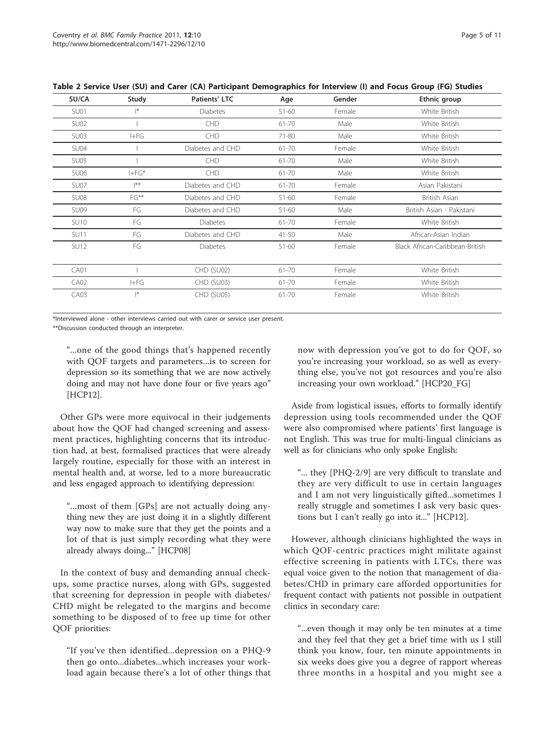| SU/CA            | Study              | Patients' LTC    | Age       | Gender | Ethnic group                    |
|------------------|--------------------|------------------|-----------|--------|---------------------------------|
| SU01             | $\vert$ *          | <b>Diabetes</b>  | $51 - 60$ | Female | White British                   |
| SU <sub>02</sub> |                    | CHD              | $61 - 70$ | Male   | White British                   |
| <b>SU03</b>      | HFG                | CHD              | 71-80     | Male   | White British                   |
| <b>SU04</b>      |                    | Diabetes and CHD | $61 - 70$ | Female | White British                   |
| SU <sub>05</sub> |                    | <b>CHD</b>       | $61 - 70$ | Male   | White British                   |
| SU <sub>06</sub> | $HFG*$             | CHD              | $61 - 70$ | Male   | White British                   |
| SU <sub>07</sub> | $ ***$             | Diabetes and CHD | $61 - 70$ | Female | Asian Pakistani                 |
| SU <sub>08</sub> | FG**               | Diabetes and CHD | $51 - 60$ | Female | British Asian                   |
| <b>SU09</b>      | FG                 | Diabetes and CHD | $51 - 60$ | Male   | British Asian - Pakistani       |
| <b>SU10</b>      | FG                 | <b>Diabetes</b>  | $61 - 70$ | Female | White British                   |
| <b>SU11</b>      | FG                 | Diabetes and CHD | $41 - 50$ | Male   | African-Asian Indian            |
| <b>SU12</b>      | FG                 | <b>Diabetes</b>  | $51 - 60$ | Female | Black African-Caribbean-British |
|                  |                    |                  |           |        |                                 |
| CA01             |                    | CHD (SU02)       | $61 - 70$ | Female | White British                   |
| CA02             | $I + FG$           | CHD (SU03)       | 61-70     | Female | White British                   |
| <b>CA03</b>      | $\vert\mathcal{H}$ | CHD (SU05)       | 61-70     | Female | White British                   |

<span id="page-4-0"></span>Table 2 Service User (SU) and Carer (CA) Participant Demographics for Interview (I) and Focus Group (FG) Studies

\*Interviewed alone - other interviews carried out with carer or service user present.

\*\*Discussion conducted through an interpreter.

"...one of the good things that's happened recently with QOF targets and parameters...is to screen for depression so its something that we are now actively doing and may not have done four or five years ago" [HCP12].

Other GPs were more equivocal in their judgements about how the QOF had changed screening and assessment practices, highlighting concerns that its introduction had, at best, formalised practices that were already largely routine, especially for those with an interest in mental health and, at worse, led to a more bureaucratic and less engaged approach to identifying depression:

"...most of them [GPs] are not actually doing anything new they are just doing it in a slightly different way now to make sure that they get the points and a lot of that is just simply recording what they were already always doing..." [HCP08]

In the context of busy and demanding annual checkups, some practice nurses, along with GPs, suggested that screening for depression in people with diabetes/ CHD might be relegated to the margins and become something to be disposed of to free up time for other QOF priorities:

"If you've then identified...depression on a PHQ-9 then go onto...diabetes...which increases your workload again because there's a lot of other things that now with depression you've got to do for QOF, so you're increasing your workload, so as well as everything else, you've not got resources and you're also increasing your own workload." [HCP20\_FG]

Aside from logistical issues, efforts to formally identify depression using tools recommended under the QOF were also compromised where patients' first language is not English. This was true for multi-lingual clinicians as well as for clinicians who only spoke English:

"... they [PHQ-2/9] are very difficult to translate and they are very difficult to use in certain languages and I am not very linguistically gifted...sometimes I really struggle and sometimes I ask very basic questions but I can't really go into it..." [HCP12].

However, although clinicians highlighted the ways in which QOF-centric practices might militate against effective screening in patients with LTCs, there was equal voice given to the notion that management of diabetes/CHD in primary care afforded opportunities for frequent contact with patients not possible in outpatient clinics in secondary care:

"...even though it may only be ten minutes at a time and they feel that they get a brief time with us I still think you know, four, ten minute appointments in six weeks does give you a degree of rapport whereas three months in a hospital and you might see a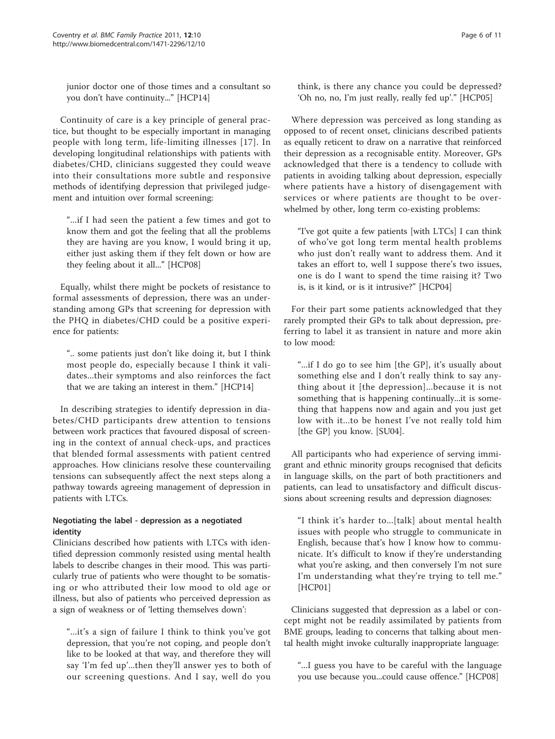junior doctor one of those times and a consultant so you don't have continuity..." [HCP14]

Continuity of care is a key principle of general practice, but thought to be especially important in managing people with long term, life-limiting illnesses [[17\]](#page-9-0). In developing longitudinal relationships with patients with diabetes/CHD, clinicians suggested they could weave into their consultations more subtle and responsive methods of identifying depression that privileged judgement and intuition over formal screening:

"...if I had seen the patient a few times and got to know them and got the feeling that all the problems they are having are you know, I would bring it up, either just asking them if they felt down or how are they feeling about it all..." [HCP08]

Equally, whilst there might be pockets of resistance to formal assessments of depression, there was an understanding among GPs that screening for depression with the PHQ in diabetes/CHD could be a positive experience for patients:

".. some patients just don't like doing it, but I think most people do, especially because I think it validates...their symptoms and also reinforces the fact that we are taking an interest in them." [HCP14]

In describing strategies to identify depression in diabetes/CHD participants drew attention to tensions between work practices that favoured disposal of screening in the context of annual check-ups, and practices that blended formal assessments with patient centred approaches. How clinicians resolve these countervailing tensions can subsequently affect the next steps along a pathway towards agreeing management of depression in patients with LTCs.

# Negotiating the label - depression as a negotiated identity

Clinicians described how patients with LTCs with identified depression commonly resisted using mental health labels to describe changes in their mood. This was particularly true of patients who were thought to be somatising or who attributed their low mood to old age or illness, but also of patients who perceived depression as a sign of weakness or of 'letting themselves down':

"...it's a sign of failure I think to think you've got depression, that you're not coping, and people don't like to be looked at that way, and therefore they will say 'I'm fed up'...then they'll answer yes to both of our screening questions. And I say, well do you think, is there any chance you could be depressed? 'Oh no, no, I'm just really, really fed up'." [HCP05]

Where depression was perceived as long standing as opposed to of recent onset, clinicians described patients as equally reticent to draw on a narrative that reinforced their depression as a recognisable entity. Moreover, GPs acknowledged that there is a tendency to collude with patients in avoiding talking about depression, especially where patients have a history of disengagement with services or where patients are thought to be overwhelmed by other, long term co-existing problems:

"I've got quite a few patients [with LTCs] I can think of who've got long term mental health problems who just don't really want to address them. And it takes an effort to, well I suppose there's two issues, one is do I want to spend the time raising it? Two is, is it kind, or is it intrusive?" [HCP04]

For their part some patients acknowledged that they rarely prompted their GPs to talk about depression, preferring to label it as transient in nature and more akin to low mood:

"...if I do go to see him [the GP], it's usually about something else and I don't really think to say anything about it [the depression]...because it is not something that is happening continually...it is something that happens now and again and you just get low with it...to be honest I've not really told him [the GP] you know. [SU04].

All participants who had experience of serving immigrant and ethnic minority groups recognised that deficits in language skills, on the part of both practitioners and patients, can lead to unsatisfactory and difficult discussions about screening results and depression diagnoses:

"I think it's harder to...[talk] about mental health issues with people who struggle to communicate in English, because that's how I know how to communicate. It's difficult to know if they're understanding what you're asking, and then conversely I'm not sure I'm understanding what they're trying to tell me." [HCP01]

Clinicians suggested that depression as a label or concept might not be readily assimilated by patients from BME groups, leading to concerns that talking about mental health might invoke culturally inappropriate language:

"...I guess you have to be careful with the language you use because you...could cause offence." [HCP08]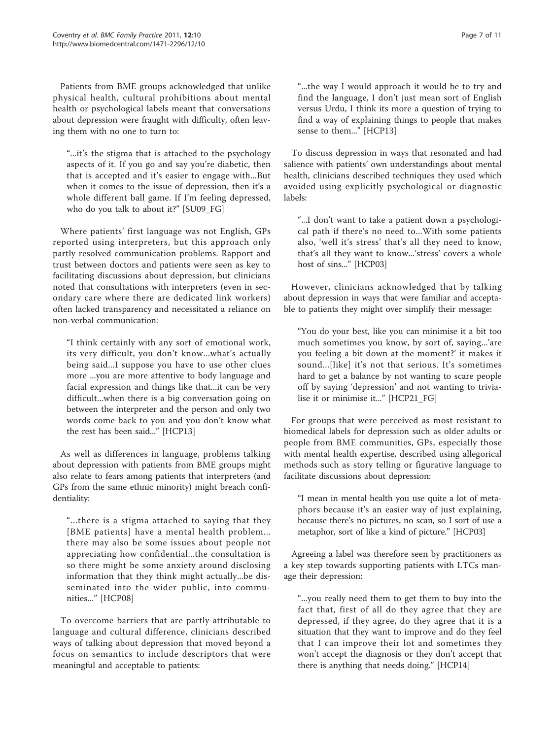Patients from BME groups acknowledged that unlike physical health, cultural prohibitions about mental health or psychological labels meant that conversations about depression were fraught with difficulty, often leaving them with no one to turn to:

"...it's the stigma that is attached to the psychology aspects of it. If you go and say you're diabetic, then that is accepted and it's easier to engage with...But when it comes to the issue of depression, then it's a whole different ball game. If I'm feeling depressed, who do you talk to about it?" [SU09\_FG]

Where patients' first language was not English, GPs reported using interpreters, but this approach only partly resolved communication problems. Rapport and trust between doctors and patients were seen as key to facilitating discussions about depression, but clinicians noted that consultations with interpreters (even in secondary care where there are dedicated link workers) often lacked transparency and necessitated a reliance on non-verbal communication:

"I think certainly with any sort of emotional work, its very difficult, you don't know...what's actually being said...I suppose you have to use other clues more ...you are more attentive to body language and facial expression and things like that...it can be very difficult...when there is a big conversation going on between the interpreter and the person and only two words come back to you and you don't know what the rest has been said..." [HCP13]

As well as differences in language, problems talking about depression with patients from BME groups might also relate to fears among patients that interpreters (and GPs from the same ethnic minority) might breach confidentiality:

"...there is a stigma attached to saying that they [BME patients] have a mental health problem... there may also be some issues about people not appreciating how confidential...the consultation is so there might be some anxiety around disclosing information that they think might actually...be disseminated into the wider public, into communities..." [HCP08]

To overcome barriers that are partly attributable to language and cultural difference, clinicians described ways of talking about depression that moved beyond a focus on semantics to include descriptors that were meaningful and acceptable to patients:

"...the way I would approach it would be to try and find the language, I don't just mean sort of English versus Urdu, I think its more a question of trying to find a way of explaining things to people that makes sense to them..." [HCP13]

To discuss depression in ways that resonated and had salience with patients' own understandings about mental health, clinicians described techniques they used which avoided using explicitly psychological or diagnostic labels:

"...I don't want to take a patient down a psychological path if there's no need to...With some patients also, 'well it's stress' that's all they need to know, that's all they want to know...'stress' covers a whole host of sins..." [HCP03]

However, clinicians acknowledged that by talking about depression in ways that were familiar and acceptable to patients they might over simplify their message:

"You do your best, like you can minimise it a bit too much sometimes you know, by sort of, saying...'are you feeling a bit down at the moment?' it makes it sound...[like] it's not that serious. It's sometimes hard to get a balance by not wanting to scare people off by saying 'depression' and not wanting to trivialise it or minimise it..." [HCP21\_FG]

For groups that were perceived as most resistant to biomedical labels for depression such as older adults or people from BME communities, GPs, especially those with mental health expertise, described using allegorical methods such as story telling or figurative language to facilitate discussions about depression:

"I mean in mental health you use quite a lot of metaphors because it's an easier way of just explaining, because there's no pictures, no scan, so I sort of use a metaphor, sort of like a kind of picture." [HCP03]

Agreeing a label was therefore seen by practitioners as a key step towards supporting patients with LTCs manage their depression:

"...you really need them to get them to buy into the fact that, first of all do they agree that they are depressed, if they agree, do they agree that it is a situation that they want to improve and do they feel that I can improve their lot and sometimes they won't accept the diagnosis or they don't accept that there is anything that needs doing." [HCP14]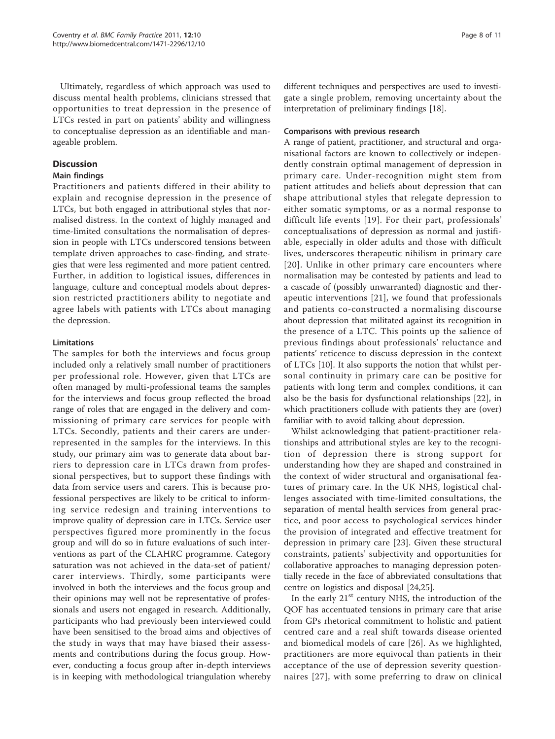Ultimately, regardless of which approach was used to discuss mental health problems, clinicians stressed that opportunities to treat depression in the presence of LTCs rested in part on patients' ability and willingness to conceptualise depression as an identifiable and manageable problem.

#### **Discussion**

#### Main findings

Practitioners and patients differed in their ability to explain and recognise depression in the presence of LTCs, but both engaged in attributional styles that normalised distress. In the context of highly managed and time-limited consultations the normalisation of depression in people with LTCs underscored tensions between template driven approaches to case-finding, and strategies that were less regimented and more patient centred. Further, in addition to logistical issues, differences in language, culture and conceptual models about depression restricted practitioners ability to negotiate and agree labels with patients with LTCs about managing the depression.

#### Limitations

The samples for both the interviews and focus group included only a relatively small number of practitioners per professional role. However, given that LTCs are often managed by multi-professional teams the samples for the interviews and focus group reflected the broad range of roles that are engaged in the delivery and commissioning of primary care services for people with LTCs. Secondly, patients and their carers are underrepresented in the samples for the interviews. In this study, our primary aim was to generate data about barriers to depression care in LTCs drawn from professional perspectives, but to support these findings with data from service users and carers. This is because professional perspectives are likely to be critical to informing service redesign and training interventions to improve quality of depression care in LTCs. Service user perspectives figured more prominently in the focus group and will do so in future evaluations of such interventions as part of the CLAHRC programme. Category saturation was not achieved in the data-set of patient/ carer interviews. Thirdly, some participants were involved in both the interviews and the focus group and their opinions may well not be representative of professionals and users not engaged in research. Additionally, participants who had previously been interviewed could have been sensitised to the broad aims and objectives of the study in ways that may have biased their assessments and contributions during the focus group. However, conducting a focus group after in-depth interviews is in keeping with methodological triangulation whereby

different techniques and perspectives are used to investigate a single problem, removing uncertainty about the interpretation of preliminary findings [[18\]](#page-9-0).

#### Comparisons with previous research

A range of patient, practitioner, and structural and organisational factors are known to collectively or independently constrain optimal management of depression in primary care. Under-recognition might stem from patient attitudes and beliefs about depression that can shape attributional styles that relegate depression to either somatic symptoms, or as a normal response to difficult life events [[19](#page-9-0)]. For their part, professionals' conceptualisations of depression as normal and justifiable, especially in older adults and those with difficult lives, underscores therapeutic nihilism in primary care [[20\]](#page-9-0). Unlike in other primary care encounters where normalisation may be contested by patients and lead to a cascade of (possibly unwarranted) diagnostic and therapeutic interventions [\[21](#page-9-0)], we found that professionals and patients co-constructed a normalising discourse about depression that militated against its recognition in the presence of a LTC. This points up the salience of previous findings about professionals' reluctance and patients' reticence to discuss depression in the context of LTCs [[10](#page-9-0)]. It also supports the notion that whilst personal continuity in primary care can be positive for patients with long term and complex conditions, it can also be the basis for dysfunctional relationships [[22\]](#page-9-0), in which practitioners collude with patients they are (over) familiar with to avoid talking about depression.

Whilst acknowledging that patient-practitioner relationships and attributional styles are key to the recognition of depression there is strong support for understanding how they are shaped and constrained in the context of wider structural and organisational features of primary care. In the UK NHS, logistical challenges associated with time-limited consultations, the separation of mental health services from general practice, and poor access to psychological services hinder the provision of integrated and effective treatment for depression in primary care [\[23](#page-9-0)]. Given these structural constraints, patients' subjectivity and opportunities for collaborative approaches to managing depression potentially recede in the face of abbreviated consultations that centre on logistics and disposal [[24,25](#page-9-0)].

In the early  $21<sup>st</sup>$  century NHS, the introduction of the QOF has accentuated tensions in primary care that arise from GPs rhetorical commitment to holistic and patient centred care and a real shift towards disease oriented and biomedical models of care [\[26](#page-9-0)]. As we highlighted, practitioners are more equivocal than patients in their acceptance of the use of depression severity questionnaires [[27\]](#page-9-0), with some preferring to draw on clinical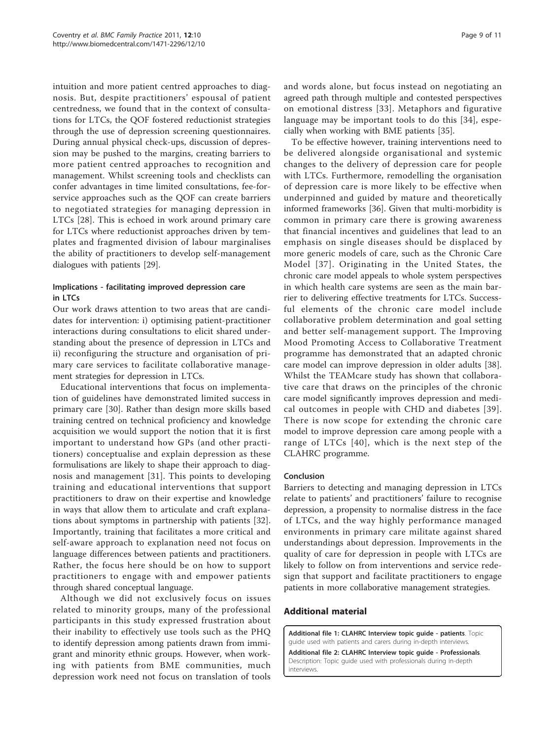<span id="page-8-0"></span>intuition and more patient centred approaches to diagnosis. But, despite practitioners' espousal of patient centredness, we found that in the context of consultations for LTCs, the QOF fostered reductionist strategies through the use of depression screening questionnaires. During annual physical check-ups, discussion of depression may be pushed to the margins, creating barriers to more patient centred approaches to recognition and management. Whilst screening tools and checklists can confer advantages in time limited consultations, fee-forservice approaches such as the QOF can create barriers to negotiated strategies for managing depression in LTCs [[28\]](#page-9-0). This is echoed in work around primary care for LTCs where reductionist approaches driven by templates and fragmented division of labour marginalises the ability of practitioners to develop self-management dialogues with patients [\[29\]](#page-9-0).

# Implications - facilitating improved depression care in LTCs

Our work draws attention to two areas that are candidates for intervention: i) optimising patient-practitioner interactions during consultations to elicit shared understanding about the presence of depression in LTCs and ii) reconfiguring the structure and organisation of primary care services to facilitate collaborative management strategies for depression in LTCs.

Educational interventions that focus on implementation of guidelines have demonstrated limited success in primary care [[30\]](#page-9-0). Rather than design more skills based training centred on technical proficiency and knowledge acquisition we would support the notion that it is first important to understand how GPs (and other practitioners) conceptualise and explain depression as these formulisations are likely to shape their approach to diagnosis and management [[31\]](#page-9-0). This points to developing training and educational interventions that support practitioners to draw on their expertise and knowledge in ways that allow them to articulate and craft explanations about symptoms in partnership with patients [\[32](#page-9-0)]. Importantly, training that facilitates a more critical and self-aware approach to explanation need not focus on language differences between patients and practitioners. Rather, the focus here should be on how to support practitioners to engage with and empower patients through shared conceptual language.

Although we did not exclusively focus on issues related to minority groups, many of the professional participants in this study expressed frustration about their inability to effectively use tools such as the PHQ to identify depression among patients drawn from immigrant and minority ethnic groups. However, when working with patients from BME communities, much depression work need not focus on translation of tools and words alone, but focus instead on negotiating an agreed path through multiple and contested perspectives on emotional distress [[33\]](#page-9-0). Metaphors and figurative language may be important tools to do this [\[34\]](#page-9-0), especially when working with BME patients [\[35\]](#page-9-0).

To be effective however, training interventions need to be delivered alongside organisational and systemic changes to the delivery of depression care for people with LTCs. Furthermore, remodelling the organisation of depression care is more likely to be effective when underpinned and guided by mature and theoretically informed frameworks [\[36\]](#page-9-0). Given that multi-morbidity is common in primary care there is growing awareness that financial incentives and guidelines that lead to an emphasis on single diseases should be displaced by more generic models of care, such as the Chronic Care Model [[37\]](#page-9-0). Originating in the United States, the chronic care model appeals to whole system perspectives in which health care systems are seen as the main barrier to delivering effective treatments for LTCs. Successful elements of the chronic care model include collaborative problem determination and goal setting and better self-management support. The Improving Mood Promoting Access to Collaborative Treatment programme has demonstrated that an adapted chronic care model can improve depression in older adults [\[38](#page-9-0)]. Whilst the TEAMcare study has shown that collaborative care that draws on the principles of the chronic care model significantly improves depression and medical outcomes in people with CHD and diabetes [\[39\]](#page-9-0). There is now scope for extending the chronic care model to improve depression care among people with a range of LTCs [[40](#page-10-0)], which is the next step of the CLAHRC programme.

#### Conclusion

Barriers to detecting and managing depression in LTCs relate to patients' and practitioners' failure to recognise depression, a propensity to normalise distress in the face of LTCs, and the way highly performance managed environments in primary care militate against shared understandings about depression. Improvements in the quality of care for depression in people with LTCs are likely to follow on from interventions and service redesign that support and facilitate practitioners to engage patients in more collaborative management strategies.

#### Additional material

[Additional file 1: C](http://www.biomedcentral.com/content/supplementary/1471-2296-12-10-S1.DOC)LAHRC Interview topic guide - patients. Topic guide used with patients and carers during in-depth interviews.

[Additional file 2: C](http://www.biomedcentral.com/content/supplementary/1471-2296-12-10-S2.DOC)LAHRC Interview topic guide - Professionals. Description: Topic guide used with professionals during in-depth interviews.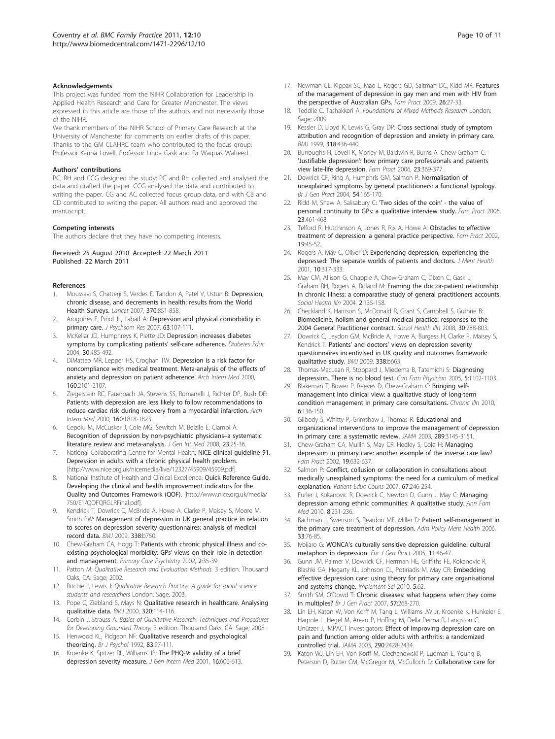#### <span id="page-9-0"></span>Acknowledgements

This project was funded from the NIHR Collaboration for Leadership in Applied Health Research and Care for Greater Manchester. The views expressed in this article are those of the authors and not necessarily those of the NIHR.

We thank members of the NIHR School of Primary Care Research at the University of Manchester for comments on earlier drafts of this paper. Thanks to the GM CLAHRC team who contributed to the focus group: Professor Karina Lovell, Professor Linda Gask and Dr Waquas Waheed.

#### Authors' contributions

PC, RH and CCG designed the study; PC and RH collected and analysed the data and drafted the paper. CCG analysed the data and contributed to writing the paper. CG and AC collected focus group data, and with CB and CD contributed to writing the paper. All authors read and approved the manuscript.

#### Competing interests

The authors declare that they have no competing interests.

#### Received: 25 August 2010 Accepted: 22 March 2011 Published: 22 March 2011

#### References

- Moussavi S, Chatterji S, Verdes E, Tandon A, Patel V, Ustun B: [Depression,](http://www.ncbi.nlm.nih.gov/pubmed/17826170?dopt=Abstract) [chronic disease, and decrements in health: results from the World](http://www.ncbi.nlm.nih.gov/pubmed/17826170?dopt=Abstract) [Health Surveys.](http://www.ncbi.nlm.nih.gov/pubmed/17826170?dopt=Abstract) Lancet 2007, 370:851-858.
- 2. Arogonès E, Piñol JL, Labad A: Depression and physical comorbidity in primary care. J Psychsom Res 2007, 63:107-111.
- 3. McKellar JD, Humphreys K, Piette JD: [Depression increases diabetes](http://www.ncbi.nlm.nih.gov/pubmed/15208846?dopt=Abstract) [symptoms by complicating patients](http://www.ncbi.nlm.nih.gov/pubmed/15208846?dopt=Abstract)' self-care adherence. Diabetes Educ 2004, 30:485-492.
- DiMatteo MR, Lepper HS, Croghan TW: [Depression is a risk factor for](http://www.ncbi.nlm.nih.gov/pubmed/10904452?dopt=Abstract) [noncompliance with medical treatment. Meta-analysis of the effects of](http://www.ncbi.nlm.nih.gov/pubmed/10904452?dopt=Abstract) [anxiety and depression on patient adherence.](http://www.ncbi.nlm.nih.gov/pubmed/10904452?dopt=Abstract) Arch Intern Med 2000, 160:2101-2107.
- 5. Ziegelstein RC, Fauerbach JA, Stevens SS, Romanelli J, Richter DP, Bush DE: [Patients with depression are less likely to follow recommendations to](http://www.ncbi.nlm.nih.gov/pubmed/10871976?dopt=Abstract) [reduce cardiac risk during recovery from a myocardial infarction.](http://www.ncbi.nlm.nih.gov/pubmed/10871976?dopt=Abstract) Arch Intern Med 2000, 160:1818-1823.
- 6. Cepoiu M, McCusker J, Cole MG, Sewitch M, Belzile E, Ciampi A: Recognition of depression by non-psychiatric physicians–a systematic literature review and meta-analysis. J Gen Int Med 2008, 23:25-36.
- 7. National Collaborating Centre for Mental Health: NICE clinical guideline 91. Depression in adults with a chronic physical health problem. [\[http://www.nice.org.uk/nicemedia/live/12327/45909/45909.pdf](http://www.nice.org.uk/nicemedia/live/12327/45909/45909.pdf)].
- National Institute of Health and Clinical Excellence: Quick Reference Guide. Developing the clinical and health improvement indicators for the Quality and Outcomes Framework (QOF). [[http://www.nice.org.uk/media/](http://www.nice.org.uk/media/750/E1/QOFQRGLRFinal.pdf) [750/E1/QOFQRGLRFinal.pdf](http://www.nice.org.uk/media/750/E1/QOFQRGLRFinal.pdf)].
- 9. Kendrick T, Dowrick C, McBride A, Howe A, Clarke P, Maisey S, Moore M, Smith PW: [Management of depression in UK general practice in relation](http://www.ncbi.nlm.nih.gov/pubmed/19299475?dopt=Abstract) [to scores on depression severity questionnaires: analysis of medical](http://www.ncbi.nlm.nih.gov/pubmed/19299475?dopt=Abstract) [record data.](http://www.ncbi.nlm.nih.gov/pubmed/19299475?dopt=Abstract) BMJ 2009, 338:b750.
- 10. Chew-Graham CA, Hogg T: Patients with chronic physical illness and coexisting psychological morbidity: GPs' views on their role in detection and management. Primary Care Psychiatry 2002, 2:35-39.
- 11. Patton M: Qualitative Research and Evaluation Methods. 3 edition. Thousand Oaks, CA: Sage; 2002.
- 12. Ritchie J, Lewis J: Qualitative Research Practice. A guide for social science students and researchers London: Sage; 2003.
- 13. Pope C, Ziebland S, Mays N: [Qualitative research in healthcare. Analysing](http://www.ncbi.nlm.nih.gov/pubmed/10625273?dopt=Abstract) [qualitative data.](http://www.ncbi.nlm.nih.gov/pubmed/10625273?dopt=Abstract) BMJ 2000, 320:114-116.
- 14. Corbin J, Strauss A: Basics of Qualitative Research: Techniques and Procedures for Developing Grounded Theory. 3 edition. Thousand Oaks, CA: Sage; 2008.
- 15. Henwood KL, Pidgeon NF: [Qualitative research and psychological](http://www.ncbi.nlm.nih.gov/pubmed/1559146?dopt=Abstract) [theorizing.](http://www.ncbi.nlm.nih.gov/pubmed/1559146?dopt=Abstract) Br J Psychol 1992, 83:97-111.
- 16. Kroenke K, Spitzer RL, Williams JB: [The PHQ-9: validity of a brief](http://www.ncbi.nlm.nih.gov/pubmed/11556941?dopt=Abstract) [depression severity measure.](http://www.ncbi.nlm.nih.gov/pubmed/11556941?dopt=Abstract) J Gen Intern Med 2001, 16:606-613.
- 17. Newman CE, Kippax SC, Mao L, Rogers GD, Saltman DC, Kidd MR: [Features](http://www.ncbi.nlm.nih.gov/pubmed/19011172?dopt=Abstract) [of the management of depression in gay men and men with HIV from](http://www.ncbi.nlm.nih.gov/pubmed/19011172?dopt=Abstract) [the perspective of Australian GPs.](http://www.ncbi.nlm.nih.gov/pubmed/19011172?dopt=Abstract) Fam Pract 2009, 26:27-33.
- 18. Teddlie C, Tashakkori A: Foundations of Mixed Methods Research London: Sage: 2009
- 19. Kessler D, Lloyd K, Lewis G, Gray DP: [Cross sectional study of symptom](http://www.ncbi.nlm.nih.gov/pubmed/9974461?dopt=Abstract) [attribution and recognition of depression and anxiety in primary care.](http://www.ncbi.nlm.nih.gov/pubmed/9974461?dopt=Abstract) BMJ 1999, 318:436-440.
- 20. Burroughs H, Lovell K, Morley M, Baldwin R, Burns A, Chew-Graham C: 'Justifiable depression'[: how primary care professionals and patients](http://www.ncbi.nlm.nih.gov/pubmed/16476699?dopt=Abstract) [view late-life depression.](http://www.ncbi.nlm.nih.gov/pubmed/16476699?dopt=Abstract) Fam Pract 2006, 23:369-377.
- 21. Dowrick CF, Ring A, Humphris GM, Salmon P: [Normalisation of](http://www.ncbi.nlm.nih.gov/pubmed/15006120?dopt=Abstract) [unexplained symptoms by general practitioners: a functional typology.](http://www.ncbi.nlm.nih.gov/pubmed/15006120?dopt=Abstract) Br J Gen Pract 2004, 54:165-170.
- 22. Ridd M, Shaw A, Salisabury C: '[Two sides of the coin](http://www.ncbi.nlm.nih.gov/pubmed/16595543?dopt=Abstract)' the value of [personal continuity to GPs: a qualitative interview study.](http://www.ncbi.nlm.nih.gov/pubmed/16595543?dopt=Abstract) Fam Pract 2006, 23:461-468.
- 23. Telford R, Hutchinson A, Jones R, Rix A, Howe A: [Obstacles to effective](http://www.ncbi.nlm.nih.gov/pubmed/11818349?dopt=Abstract) [treatment of depression: a general practice perspective.](http://www.ncbi.nlm.nih.gov/pubmed/11818349?dopt=Abstract) Fam Pract 2002, 19:45-52.
- 24. Rogers A, May C, Oliver D: Experiencing depression, experiencing the depressed: The separate worlds of patients and doctors. J Ment Health 2001, 10:317-333.
- 25. May CM, Allison G, Chapple A, Chew-Graham C, Dixon C, Gask L, Graham RH, Rogers A, Roland M: Framing the doctor-patient relationship in chronic illness: a comparative study of general practitioners accounts. Sociol Health Illn 2004, 2:135-158.
- 26. Checkland K, Harrison S, McDonald R, Grant S, Campbell S, Guthrie B: [Biomedicine, holism and general medical practice: responses to the](http://www.ncbi.nlm.nih.gov/pubmed/18444956?dopt=Abstract) [2004 General Practitioner contract.](http://www.ncbi.nlm.nih.gov/pubmed/18444956?dopt=Abstract) Sociol Health Illn 2008, 30:788-803.
- 27. Dowrick C, Leydon GM, McBride A, Howe A, Burgess H, Clarke P, Maisey S, Kendrick T: Patients' and doctors' [views on depression severity](http://www.ncbi.nlm.nih.gov/pubmed/19299474?dopt=Abstract) [questionnaires incentivised in UK quality and outcomes framework:](http://www.ncbi.nlm.nih.gov/pubmed/19299474?dopt=Abstract) [qualitative study.](http://www.ncbi.nlm.nih.gov/pubmed/19299474?dopt=Abstract) BMJ 2009, 338:b663.
- Thomas-MacLean R, Stoppard J, Miedema B, Tatemichi S: Diagnosing depression. There is no blood test. Can Fam Physician 2005, 5:1102-1103.
- 29. Blakeman T, Bower P, Reeves D, Chew-Graham C: [Bringing self](http://www.ncbi.nlm.nih.gov/pubmed/20444765?dopt=Abstract)[management into clinical view: a qualitative study of long-term](http://www.ncbi.nlm.nih.gov/pubmed/20444765?dopt=Abstract) [condition management in primary care consultations.](http://www.ncbi.nlm.nih.gov/pubmed/20444765?dopt=Abstract) Chronic Illn 2010, 6:136-150.
- 30. Gilbody S, Whitty P, Grimshaw J, Thomas R: [Educational](http://www.ncbi.nlm.nih.gov/pubmed/12813120?dopt=Abstract) and [organizational interventions to improve the management of depression](http://www.ncbi.nlm.nih.gov/pubmed/12813120?dopt=Abstract) [in primary care: a systematic review.](http://www.ncbi.nlm.nih.gov/pubmed/12813120?dopt=Abstract) JAMA 2003, 289:3145-3151.
- 31. Chew-Graham CA, Mullin S, May CR, Hedley S, Cole H: [Managing](http://www.ncbi.nlm.nih.gov/pubmed/12429666?dopt=Abstract) [depression in primary care: another example of the inverse care law?](http://www.ncbi.nlm.nih.gov/pubmed/12429666?dopt=Abstract) Fam Pract 2002, 19:632-637.
- 32. Salmon P: [Conflict, collusion or collaboration in consultations about](http://www.ncbi.nlm.nih.gov/pubmed/17428634?dopt=Abstract) [medically unexplained symptoms: the need for a curriculum of medical](http://www.ncbi.nlm.nih.gov/pubmed/17428634?dopt=Abstract) [explanation.](http://www.ncbi.nlm.nih.gov/pubmed/17428634?dopt=Abstract) Patient Educ Couns 2007, 67:246-254.
- 33. Furler J, Kokanovic R, Dowrick C, Newton D, Gunn J, May C: [Managing](http://www.ncbi.nlm.nih.gov/pubmed/20458106?dopt=Abstract) [depression among ethnic communities: A qualitative study.](http://www.ncbi.nlm.nih.gov/pubmed/20458106?dopt=Abstract) Ann Fam Med 2010, 8:231-236.
- Bachman J, Swenson S, Reardon ME, Miller D: [Patient self-management in](http://www.ncbi.nlm.nih.gov/pubmed/16215659?dopt=Abstract) [the primary care treatment of depression.](http://www.ncbi.nlm.nih.gov/pubmed/16215659?dopt=Abstract) Adm Policy Ment Health 2006, 33:76-85.
- 35. Ivbijaro G: WONCA'[s culturally sensitive depression guideline: cultural](http://www.ncbi.nlm.nih.gov/pubmed/16392775?dopt=Abstract) [metaphors in depression.](http://www.ncbi.nlm.nih.gov/pubmed/16392775?dopt=Abstract) Eur J Gen Pract 2005, 11:46-47.
- 36. Gunn JM, Palmer V, Dowrick CF, Herrman HE, Griffiths FE, Kokanovic R, Blashki GA, Hegarty KL, Johnson CL, Potiriadis M, May CR: [Embedding](http://www.ncbi.nlm.nih.gov/pubmed/20687962?dopt=Abstract) [effective depression care: using theory for primary care organisational](http://www.ncbi.nlm.nih.gov/pubmed/20687962?dopt=Abstract) [and systems change.](http://www.ncbi.nlm.nih.gov/pubmed/20687962?dopt=Abstract) Implement Sci 2010, 5:62.
- 37. Smith SM, O'Dowd T: [Chronic diseases: what happens when they come](http://www.ncbi.nlm.nih.gov/pubmed/17394728?dopt=Abstract) [in multiples?](http://www.ncbi.nlm.nih.gov/pubmed/17394728?dopt=Abstract) Br J Gen Pract 2007, 57:268-270.
- 38. Lin EH, Katon W, Von Korff M, Tang L, Williams JW Jr, Kroenke K, Hunkeler E, Harpole L, Hegel M, Arean P, Hoffing M, Della Penna R, Langston C, Unützer J, IMPACT Investigators: [Effect of improving depression care on](http://www.ncbi.nlm.nih.gov/pubmed/14612479?dopt=Abstract) [pain and function among older adults with arthritis: a randomized](http://www.ncbi.nlm.nih.gov/pubmed/14612479?dopt=Abstract) [controlled trial.](http://www.ncbi.nlm.nih.gov/pubmed/14612479?dopt=Abstract) JAMA 2003, 290:2428-2434.
- 39. Katon WJ, Lin EH, Von Korff M, Ciechanowski P, Ludman E, Young B, Peterson D, Rutter CM, McGregor M, McCulloch D: [Collaborative care for](http://www.ncbi.nlm.nih.gov/pubmed/21190455?dopt=Abstract)